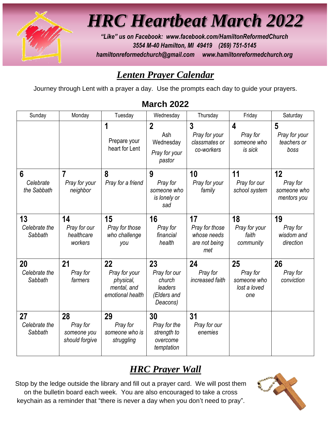

*HRC Heartbeat March 2022*

*"Like" us on Facebook: [www.facebook.com/HamiltonReformedChurch](http://www.facebook.com/HamiltonReformedChurch) 3554 M-40 Hamilton, MI 49419 (269) 751-5145 hamiltonreformedchurch@gmail.com www.hamiltonreformedchurch.org*

# *Lenten Prayer Calendar*

Journey through Lent with a prayer a day. Use the prompts each day to guide your prayers.

| Sunday                         | Monday                                          | Tuesday                                                             | Wednesday                                                          | Thursday                                                    | Friday                                               | Saturday                                     |
|--------------------------------|-------------------------------------------------|---------------------------------------------------------------------|--------------------------------------------------------------------|-------------------------------------------------------------|------------------------------------------------------|----------------------------------------------|
|                                |                                                 | 1<br>Prepare your<br>heart for Lent                                 | $\overline{2}$<br>Ash<br>Wednesday<br>Pray for your<br>pastor      | 3<br>Pray for your<br>classmates or<br>co-workers           | 4<br>Pray for<br>someone who<br>is sick              | 5<br>Pray for your<br>teachers or<br>boss    |
| 6<br>Celebrate<br>the Sabbath  | $\overline{7}$<br>Pray for your<br>neighbor     | 8<br>Pray for a friend                                              | 9<br>Pray for<br>someone who<br>is lonely or<br>sad                | 10<br>Pray for your<br>family                               | 11<br>Pray for our<br>school system                  | 12<br>Pray for<br>someone who<br>mentors you |
| 13<br>Celebrate the<br>Sabbath | 14<br>Pray for our<br>healthcare<br>workers     | 15<br>Pray for those<br>who challenge<br>you                        | 16<br>Pray for<br>financial<br>health                              | 17<br>Pray for those<br>whose needs<br>are not being<br>met | 18<br>Pray for your<br>faith<br>community            | 19<br>Pray for<br>wisdom and<br>direction    |
| 20<br>Celebrate the<br>Sabbath | 21<br>Pray for<br>farmers                       | 22<br>Pray for your<br>physical,<br>mental, and<br>emotional health | 23<br>Pray for our<br>church<br>leaders<br>(Elders and<br>Deacons) | 24<br>Pray for<br>increased faith                           | 25<br>Pray for<br>someone who<br>lost a loved<br>one | 26<br>Pray for<br>conviction                 |
| 27<br>Celebrate the<br>Sabbath | 28<br>Pray for<br>someone you<br>should forgive | 29<br>Pray for<br>someone who is<br>struggling                      | 30<br>Pray for the<br>strength to<br>overcome<br>temptation        | 31<br>Pray for our<br>enemies                               |                                                      |                                              |

#### **March 2022**

# *HRC Prayer Wall*

Stop by the ledge outside the library and fill out a prayer card. We will post them on the bulletin board each week. You are also encouraged to take a cross keychain as a reminder that "there is never a day when you don't need to pray".

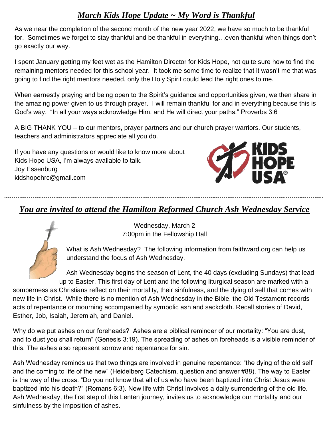#### *March Kids Hope Update ~ My Word is Thankful*

As we near the completion of the second month of the new year 2022, we have so much to be thankful for. Sometimes we forget to stay thankful and be thankful in everything…even thankful when things don't go exactly our way.

I spent January getting my feet wet as the Hamilton Director for Kids Hope, not quite sure how to find the remaining mentors needed for this school year. It took me some time to realize that it wasn't me that was going to find the right mentors needed, only the Holy Spirit could lead the right ones to me.

When earnestly praying and being open to the Spirit's guidance and opportunities given, we then share in the amazing power given to us through prayer. I will remain thankful for and in everything because this is God's way. "In all your ways acknowledge Him, and He will direct your paths." Proverbs 3:6

A BIG THANK YOU – to our mentors, prayer partners and our church prayer warriors. Our students, teachers and administrators appreciate all you do.

If you have any questions or would like to know more about Kids Hope USA, I'm always available to talk. Joy Essenburg kidshopehrc@gmail.com



#### *You are invited to attend the Hamilton Reformed Church Ash Wednesday Service*



Wednesday, March 2 7:00pm in the Fellowship Hall

What is Ash Wednesday? The following information from faithward.org can help us understand the focus of Ash Wednesday.

Ash Wednesday begins the season of Lent, the 40 days (excluding Sundays) that lead up to Easter. This first day of Lent and the following liturgical season are marked with a

somberness as Christians reflect on their mortality, their sinfulness, and the dying of self that comes with new life in Christ. While there is no mention of Ash Wednesday in the Bible, the Old Testament records acts of repentance or mourning accompanied by symbolic ash and sackcloth. Recall stories of David, Esther, Job, Isaiah, Jeremiah, and Daniel.

Why do we put ashes on our foreheads? Ashes are a biblical reminder of our mortality: "You are dust, and to dust you shall return" (Genesis 3:19). The spreading of ashes on foreheads is a visible reminder of this. The ashes also represent sorrow and repentance for sin.

Ash Wednesday reminds us that two things are involved in genuine repentance: "the dying of the old self and the coming to life of the new" (Heidelberg Catechism, question and answer #88). The way to Easter is the way of the cross. "Do you not know that all of us who have been baptized into Christ Jesus were baptized into his death?" (Romans 6:3). New life with Christ involves a daily surrendering of the old life. Ash Wednesday, the first step of this Lenten journey, invites us to acknowledge our mortality and our sinfulness by the imposition of ashes.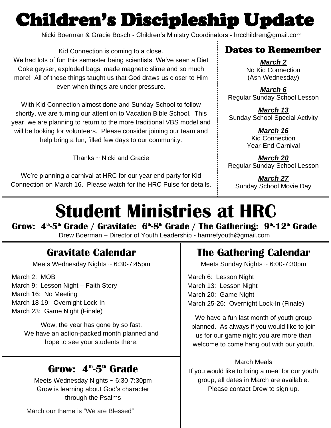# Children's Discipleship Update

Nicki Boerman & Gracie Bosch - Children's Ministry Coordinators - hrcchildren@gmail.com

Kid Connection is coming to a close. We had lots of fun this semester being scientists. We've seen a Diet Coke geyser, exploded bags, made magnetic slime and so much more! All of these things taught us that God draws us closer to Him even when things are under pressure.

With Kid Connection almost done and Sunday School to follow shortly, we are turning our attention to Vacation Bible School. This year, we are planning to return to the more traditional VBS model and will be looking for volunteers. Please consider joining our team and help bring a fun, filled few days to our community.

Thanks ~ Nicki and Gracie

We're planning a carnival at HRC for our year end party for Kid Connection on March 16. Please watch for the HRC Pulse for details.

#### Dates to Remember

*March 2* No Kid Connection (Ash Wednesday)

*March 6* Regular Sunday School Lesson

*March 13* Sunday School Special Activity

> *March 16* Kid Connection Year-End Carnival

*March 20* Regular Sunday School Lesson

*March 27* Sunday School Movie Day

# **Student Ministries at HRC**

Grow: 4<sup></sup>"-5<sup></sup>" Grade / Gravitate: 6<sup></sup>"-8<sup></sup>" Grade / The Gathering: 9"-12" Grade Drew Boerman – Director of Youth Leadership - hamrefyouth@gmail.com

# **Gravitate Calendar**

Meets Wednesday Nights ~ 6:30-7:45pm

March 2: MOB March 9: Lesson Night – Faith Story March 16: No Meeting March 18-19: Overnight Lock-In March 23: Game Night (Finale)

> Wow, the year has gone by so fast. We have an action-packed month planned and hope to see your students there.

# Grow: 4<sup>th</sup>-5<sup>th</sup> Grade

Meets Wednesday Nights ~ 6:30-7:30pm Grow is learning about God's character through the Psalms

# **The Gathering Calendar**

Meets Sunday Nights ~ 6:00-7:30pm

March 6: Lesson Night March 13: Lesson Night March 20: Game Night March 25-26: Overnight Lock-In (Finale)

We have a fun last month of youth group planned. As always if you would like to join us for our game night you are more than welcome to come hang out with our youth.

#### March Meals

If you would like to bring a meal for our youth group, all dates in March are available. Please contact Drew to sign up.

March our theme is "We are Blessed"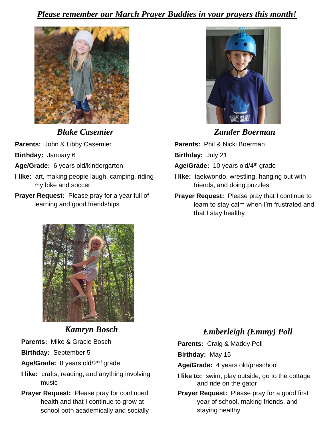#### *Please remember our March Prayer Buddies in your prayers this month!*



*Blake Casemier*

**Parents:** John & Libby Casemier

**Birthday:** January 6

- **Age/Grade:** 6 years old/kindergarten
- **I like:** art, making people laugh, camping, riding my bike and soccer
- **Prayer Request:** Please pray for a year full of learning and good friendships



*Zander Boerman*

**Parents:** Phil & Nicki Boerman **Birthday:** July 21 Age/Grade: 10 years old/4<sup>th</sup> grade **I like:** taekwondo, wrestling, hanging out with friends, and doing puzzles

**Prayer Request:** Please pray that I continue to learn to stay calm when I'm frustrated and that I stay healthy



#### *Kamryn Bosch*

**Parents:** Mike & Gracie Bosch

**Birthday:** September 5

- Age/Grade: 8 years old/2<sup>nd</sup> grade
- **I like:** crafts, reading, and anything involving music
- **Prayer Request:** Please pray for continued health and that I continue to grow at school both academically and socially

#### *Emberleigh (Emmy) Poll*

**Parents:** Craig & Maddy Poll

**Birthday:** May 15

**Age/Grade:** 4 years old/preschool

- **I like to:** swim, play outside, go to the cottage and ride on the gator
- **Prayer Request:** Please pray for a good first year of school, making friends, and staying healthy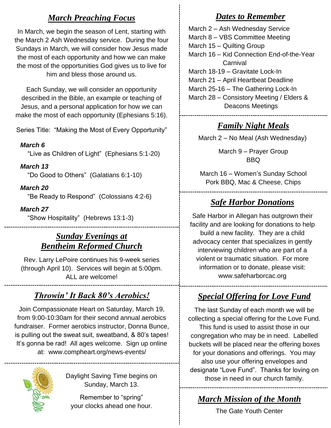#### *March Preaching Focus*

In March, we begin the season of Lent, starting with the March 2 Ash Wednesday service. During the four Sundays in March, we will consider how Jesus made the most of each opportunity and how we can make the most of the opportunities God gives us to live for him and bless those around us.

Each Sunday, we will consider an opportunity described in the Bible, an example or teaching of Jesus, and a personal application for how we can make the most of each opportunity (Ephesians 5:16).

Series Title: "Making the Most of Every Opportunity"

#### *March 6*

"Live as Children of Light" (Ephesians 5:1-20)

#### *March 13*

"Do Good to Others" (Galatians 6:1-10)

#### *March 20*

"Be Ready to Respond" (Colossians 4:2-6)

#### *March 27*

"Show Hospitality" (Hebrews 13:1-3)

#### *Sunday Evenings at Bentheim Reformed Church*

Rev. Larry LePoire continues his 9-week series (through April 10). Services will begin at 5:00pm. ALL are welcome!

#### *Throwin' It Back 80's Aerobics!*

Join Compassionate Heart on Saturday, March 19, from 9:00-10:30am for their second annual aerobics fundraiser. Former aerobics instructor, Donna Bunce, is pulling out the sweat suit, sweatband, & 80's tapes! It's gonna be rad! All ages welcome. Sign up online at: www.compheart.org/news-events/

Daylight Saving Time begins on Sunday, March 13.

Remember to "spring" your clocks ahead one hour.

#### *Dates to Remember*

March 2 – Ash Wednesday Service March 8 – VBS Committee Meeting March 15 – Quilting Group March 16 – Kid Connection End-of-the-Year **Carnival** March 18-19 – Gravitate Lock-In March 21 – April Heartbeat Deadline March 25-16 – The Gathering Lock-In March 28 – Consistory Meeting / Elders & Deacons Meetings

#### *Family Night Meals*

March 2 – No Meal (Ash Wednesday)

March 9 – Prayer Group BBQ

March 16 – Women's Sunday School Pork BBQ, Mac & Cheese, Chips

#### *Safe Harbor Donations*

Safe Harbor in Allegan has outgrown their facility and are looking for donations to help build a new facility. They are a child advocacy center that specializes in gently interviewing children who are part of a violent or traumatic situation. For more information or to donate, please visit: www.safeharborcac.org

### *Special Offering for Love Fund*

The last Sunday of each month we will be collecting a special offering for the Love Fund. This fund is used to assist those in our congregation who may be in need. Labelled

buckets will be placed near the offering boxes for your donations and offerings. You may also use your offering envelopes and designate "Love Fund". Thanks for loving on those in need in our church family.

# *March Mission of the Month*

The Gate Youth Center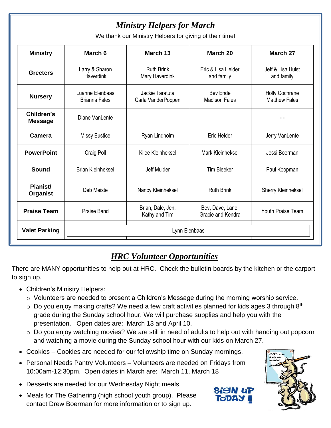## *Ministry Helpers for March*

We thank our Ministry Helpers for giving of their time!

| <b>Ministry</b>              | March 6                                              | March 13                              | March 20                              | March 27                               |  |  |
|------------------------------|------------------------------------------------------|---------------------------------------|---------------------------------------|----------------------------------------|--|--|
| <b>Greeters</b>              | Larry & Sharon<br><b>Haverdink</b>                   | <b>Ruth Brink</b><br>Mary Haverdink   | Eric & Lisa Helder<br>and family      | Jeff & Lisa Hulst<br>and family        |  |  |
| <b>Nursery</b>               | Luanne Elenbaas<br><b>Brianna Fales</b>              | Jackie Taratuta<br>Carla VanderPoppen | Bev Ende<br><b>Madison Fales</b>      | Holly Cochrane<br><b>Matthew Fales</b> |  |  |
| Children's<br><b>Message</b> | Diane VanLente                                       |                                       |                                       |                                        |  |  |
| <b>Camera</b>                | <b>Missy Eustice</b>                                 | Ryan Lindholm                         | Eric Helder                           |                                        |  |  |
| <b>PowerPoint</b>            | Craig Poll                                           | Kilee Kleinheksel                     | Mark Kleinheksel                      | Jessi Boerman                          |  |  |
| <b>Sound</b>                 | <b>Brian Kleinheksel</b>                             | Jeff Mulder                           | <b>Tim Bleeker</b>                    | Paul Koopman                           |  |  |
| Pianist/<br><b>Organist</b>  | <b>Ruth Brink</b><br>Deb Meiste<br>Nancy Kleinheksel |                                       |                                       | <b>Sherry Kleinheksel</b>              |  |  |
| <b>Praise Team</b>           | <b>Praise Band</b>                                   | Brian, Dale, Jen,<br>Kathy and Tim    | Bev, Dave, Lane,<br>Gracie and Kendra | Youth Praise Team                      |  |  |
| <b>Valet Parking</b>         | Lynn Elenbaas                                        |                                       |                                       |                                        |  |  |

#### *HRC Volunteer Opportunities*

There are MANY opportunities to help out at HRC. Check the bulletin boards by the kitchen or the carport to sign up.

- Children's Ministry Helpers:
	- o Volunteers are needed to present a Children's Message during the morning worship service.
	- $\circ$  Do you enjoy making crafts? We need a few craft activities planned for kids ages 3 through 8<sup>th</sup> grade during the Sunday school hour. We will purchase supplies and help you with the presentation. Open dates are: March 13 and April 10.
	- o Do you enjoy watching movies? We are still in need of adults to help out with handing out popcorn and watching a movie during the Sunday school hour with our kids on March 27.
- Cookies Cookies are needed for our fellowship time on Sunday mornings.
- Personal Needs Pantry Volunteers Volunteers are needed on Fridays from 10:00am-12:30pm. Open dates in March are: March 11, March 18
- Desserts are needed for our Wednesday Night meals.
- Meals for The Gathering (high school youth group). Please contact Drew Boerman for more information or to sign up.



**TODA**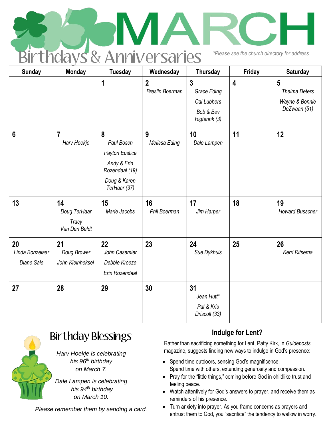|  | <b>Birthdays &amp; Anniversaries</b> |  | *Please see the church directory for address |  |
|--|--------------------------------------|--|----------------------------------------------|--|
|  |                                      |  |                                              |  |

| <b>Sunday</b>                              | <b>Monday</b>                                       | <b>Tuesday</b>                                                                                     | Wednesday                                | <b>Thursday</b>                                                            | Friday                  | <b>Saturday</b>                                             |
|--------------------------------------------|-----------------------------------------------------|----------------------------------------------------------------------------------------------------|------------------------------------------|----------------------------------------------------------------------------|-------------------------|-------------------------------------------------------------|
|                                            |                                                     | 1                                                                                                  | $\overline{2}$<br><b>Breslin Boerman</b> | $\overline{3}$<br>Grace Eding<br>Cal Lubbers<br>Bob & Bev<br>Rigterink (3) | $\overline{\mathbf{4}}$ | 5<br><b>Thelma Deters</b><br>Wayne & Bonnie<br>DeZwaan (51) |
| $6\phantom{1}6$                            | $\overline{7}$<br>Harv Hoekje                       | 8<br>Paul Bosch<br>Payton Eustice<br>Andy & Erin<br>Rozendaal (19)<br>Doug & Karen<br>TerHaar (37) | 9<br>Melissa Eding                       | 10<br>Dale Lampen                                                          | 11                      | 12                                                          |
| 13                                         | 14<br>Doug TerHaar<br><b>Tracy</b><br>Van Den Beldt | 15<br>Marie Jacobs                                                                                 | 16<br>Phil Boerman                       | 17<br>Jim Harper                                                           | 18                      | 19<br><b>Howard Busscher</b>                                |
| 20<br>Linda Bonzelaar<br><b>Diane Sale</b> | 21<br>Doug Brower<br>John Kleinheksel               | 22<br>John Casemier<br>Debbie Kroeze<br>Erin Rozendaal                                             | 23                                       | 24<br>Sue Dykhuis                                                          | 25                      | 26<br>Kerri Ritsema                                         |
| 27                                         | 28                                                  | 29                                                                                                 | 30                                       | 31<br>Jean Hutt*<br>Pat & Kris<br>Driscoll (33)                            |                         |                                                             |



# Birthday Blessings

*Harv Hoekje is celebrating his 96th birthday on March 7.*

*Dale Lampen is celebrating his 94th birthday on March 10.*

*Please remember them by sending a card.*

#### **Indulge for Lent?**

Rather than sacrificing something for Lent, Patty Kirk, in *Guideposts* magazine, suggests finding new ways to indulge in God's presence:

- Spend time outdoors, sensing God's magnificence. Spend time with others, extending generosity and compassion.
- Pray for the "little things," coming before God in childlike trust and feeling peace.
- Watch attentively for God's answers to prayer, and receive them as reminders of his presence.
- Turn anxiety into prayer. As you frame concerns as prayers and entrust them to God, you "sacrifice" the tendency to wallow in worry.